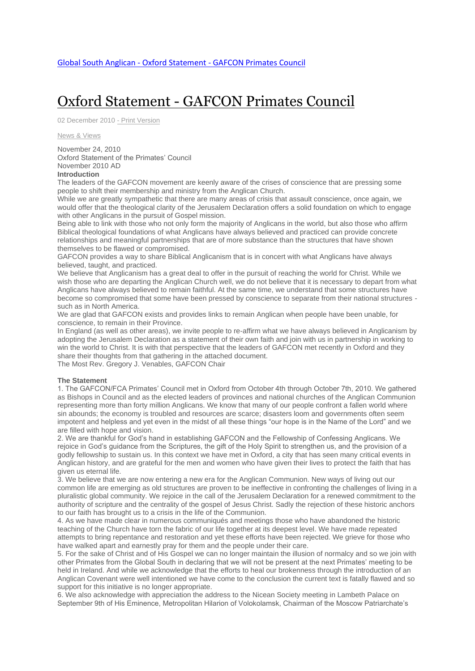## Oxford [Statement](http://www.globalsouthanglican.org/index.php/blog/comments/oxford_statement_gafcon_primates_council) - GAFCON Primates Council

02 December 2010 - Print [Version](http://globalsouthanglican.org/index.php/blog/printing/oxford_statement_gafcon_primates_council)

News & [Views](http://globalsouthanglican.org/index.php/archives/category/news_views)

November 24, 2010 Oxford Statement of the Primates' Council November 2010 AD **Introduction**

The leaders of the GAFCON movement are keenly aware of the crises of conscience that are pressing some people to shift their membership and ministry from the Anglican Church.

While we are greatly sympathetic that there are many areas of crisis that assault conscience, once again, we would offer that the theological clarity of the Jerusalem Declaration offers a solid foundation on which to engage with other Anglicans in the pursuit of Gospel mission.

Being able to link with those who not only form the majority of Anglicans in the world, but also those who affirm Biblical theological foundations of what Anglicans have always believed and practiced can provide concrete relationships and meaningful partnerships that are of more substance than the structures that have shown themselves to be flawed or compromised.

GAFCON provides a way to share Biblical Anglicanism that is in concert with what Anglicans have always believed, taught, and practiced.

We believe that Anglicanism has a great deal to offer in the pursuit of reaching the world for Christ. While we wish those who are departing the Anglican Church well, we do not believe that it is necessary to depart from what Anglicans have always believed to remain faithful. At the same time, we understand that some structures have become so compromised that some have been pressed by conscience to separate from their national structures such as in North America.

We are glad that GAFCON exists and provides links to remain Anglican when people have been unable, for conscience, to remain in their Province.

In England (as well as other areas), we invite people to re-affirm what we have always believed in Anglicanism by adopting the Jerusalem Declaration as a statement of their own faith and join with us in partnership in working to win the world to Christ. It is with that perspective that the leaders of GAFCON met recently in Oxford and they share their thoughts from that gathering in the attached document.

The Most Rev. Gregory J. Venables, GAFCON Chair

## **The Statement**

1. The GAFCON/FCA Primates' Council met in Oxford from October 4th through October 7th, 2010. We gathered as Bishops in Council and as the elected leaders of provinces and national churches of the Anglican Communion representing more than forty million Anglicans. We know that many of our people confront a fallen world where sin abounds; the economy is troubled and resources are scarce; disasters loom and governments often seem impotent and helpless and yet even in the midst of all these things "our hope is in the Name of the Lord" and we are filled with hope and vision.

2. We are thankful for God's hand in establishing GAFCON and the Fellowship of Confessing Anglicans. We rejoice in God's guidance from the Scriptures, the gift of the Holy Spirit to strengthen us, and the provision of a godly fellowship to sustain us. In this context we have met in Oxford, a city that has seen many critical events in Anglican history, and are grateful for the men and women who have given their lives to protect the faith that has given us eternal life.

3. We believe that we are now entering a new era for the Anglican Communion. New ways of living out our common life are emerging as old structures are proven to be ineffective in confronting the challenges of living in a pluralistic global community. We rejoice in the call of the Jerusalem Declaration for a renewed commitment to the authority of scripture and the centrality of the gospel of Jesus Christ. Sadly the rejection of these historic anchors to our faith has brought us to a crisis in the life of the Communion.

4. As we have made clear in numerous communiqués and meetings those who have abandoned the historic teaching of the Church have torn the fabric of our life together at its deepest level. We have made repeated attempts to bring repentance and restoration and yet these efforts have been rejected. We grieve for those who have walked apart and earnestly pray for them and the people under their care.

5. For the sake of Christ and of His Gospel we can no longer maintain the illusion of normalcy and so we join with other Primates from the Global South in declaring that we will not be present at the next Primates' meeting to be held in Ireland. And while we acknowledge that the efforts to heal our brokenness through the introduction of an Anglican Covenant were well intentioned we have come to the conclusion the current text is fatally flawed and so support for this initiative is no longer appropriate.

6. We also acknowledge with appreciation the address to the Nicean Society meeting in Lambeth Palace on September 9th of His Eminence, Metropolitan Hilarion of Volokolamsk, Chairman of the Moscow Patriarchate's